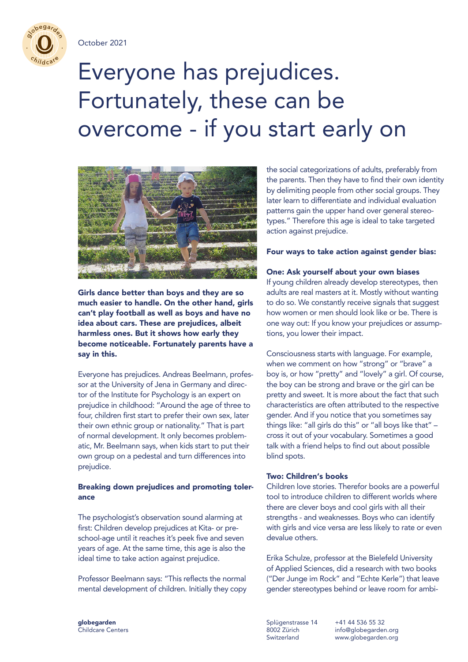

nega,

# Everyone has prejudices. Fortunately, these can be overcome - if you start early on



Girls dance better than boys and they are so much easier to handle. On the other hand, girls can't play football as well as boys and have no idea about cars. These are prejudices, albeit harmless ones. But it shows how early they become noticeable. Fortunately parents have a say in this.

Everyone has prejudices. Andreas Beelmann, professor at the University of Jena in Germany and director of the Institute for Psychology is an expert on prejudice in childhood: "Around the age of three to four, children first start to prefer their own sex, later their own ethnic group or nationality." That is part of normal development. It only becomes problematic, Mr. Beelmann says, when kids start to put their own group on a pedestal and turn differences into prejudice.

# Breaking down prejudices and promoting tolerance

The psychologist's observation sound alarming at first: Children develop prejudices at Kita- or preschool-age until it reaches it's peek five and seven years of age. At the same time, this age is also the ideal time to take action against prejudice.

Professor Beelmann says: "This reflects the normal mental development of children. Initially they copy the social categorizations of adults, preferably from the parents. Then they have to find their own identity by delimiting people from other social groups. They later learn to differentiate and individual evaluation patterns gain the upper hand over general stereotypes." Therefore this age is ideal to take targeted action against prejudice.

Four ways to take action against gender bias:

# One: Ask yourself about your own biases

If young children already develop stereotypes, then adults are real masters at it. Mostly without wanting to do so. We constantly receive signals that suggest how women or men should look like or be. There is one way out: If you know your prejudices or assumptions, you lower their impact.

Consciousness starts with language. For example, when we comment on how "strong" or "brave" a boy is, or how "pretty" and "lovely" a girl. Of course, the boy can be strong and brave or the girl can be pretty and sweet. It is more about the fact that such characteristics are often attributed to the respective gender. And if you notice that you sometimes say things like: "all girls do this" or "all boys like that" – cross it out of your vocabulary. Sometimes a good talk with a friend helps to find out about possible blind spots.

# Two: Children's books

Children love stories. Therefor books are a powerful tool to introduce children to different worlds where there are clever boys and cool girls with all their strengths - and weaknesses. Boys who can identify with girls and vice versa are less likely to rate or even devalue others.

Erika Schulze, professor at the Bielefeld University of Applied Sciences, did a research with two books ("Der Junge im Rock" and "Echte Kerle") that leave gender stereotypes behind or leave room for ambi-

globegarden Childcare Centers Splügenstrasse 14 8002 Zürich Switzerland

+41 44 536 55 32 info@globegarden.org www.globegarden.org